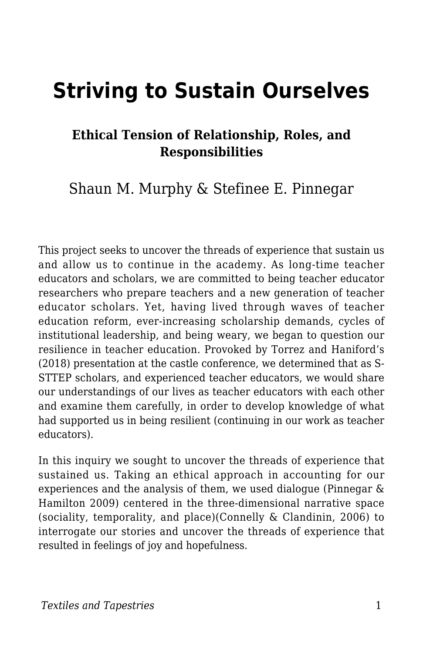# **Striving to Sustain Ourselves**

#### **Ethical Tension of Relationship, Roles, and Responsibilities**

Shaun M. Murphy & Stefinee E. Pinnegar

This project seeks to uncover the threads of experience that sustain us and allow us to continue in the academy. As long-time teacher educators and scholars, we are committed to being teacher educator researchers who prepare teachers and a new generation of teacher educator scholars. Yet, having lived through waves of teacher education reform, ever-increasing scholarship demands, cycles of institutional leadership, and being weary, we began to question our resilience in teacher education. Provoked by Torrez and Haniford's (2018) presentation at the castle conference, we determined that as S-STTEP scholars, and experienced teacher educators, we would share our understandings of our lives as teacher educators with each other and examine them carefully, in order to develop knowledge of what had supported us in being resilient (continuing in our work as teacher educators).

In this inquiry we sought to uncover the threads of experience that sustained us. Taking an ethical approach in accounting for our experiences and the analysis of them, we used dialogue (Pinnegar & Hamilton 2009) centered in the three-dimensional narrative space (sociality, temporality, and place)(Connelly & Clandinin, 2006) to interrogate our stories and uncover the threads of experience that resulted in feelings of joy and hopefulness.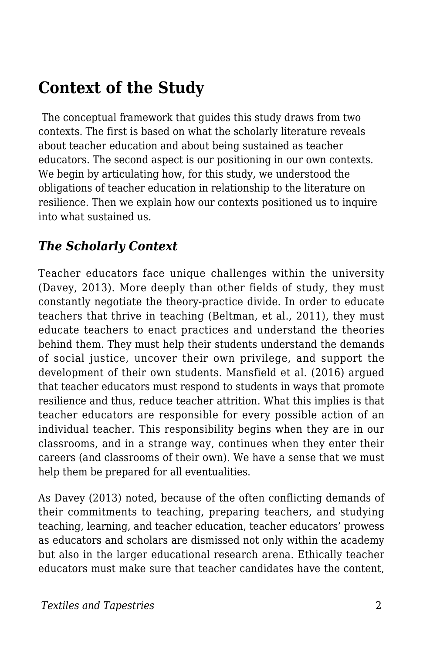# **Context of the Study**

The conceptual framework that guides this study draws from two contexts. The first is based on what the scholarly literature reveals about teacher education and about being sustained as teacher educators. The second aspect is our positioning in our own contexts. We begin by articulating how, for this study, we understood the obligations of teacher education in relationship to the literature on resilience. Then we explain how our contexts positioned us to inquire into what sustained us.

#### *The Scholarly Context*

Teacher educators face unique challenges within the university (Davey, 2013). More deeply than other fields of study, they must constantly negotiate the theory-practice divide. In order to educate teachers that thrive in teaching (Beltman, et al., 2011), they must educate teachers to enact practices and understand the theories behind them. They must help their students understand the demands of social justice, uncover their own privilege, and support the development of their own students. Mansfield et al. (2016) argued that teacher educators must respond to students in ways that promote resilience and thus, reduce teacher attrition. What this implies is that teacher educators are responsible for every possible action of an individual teacher. This responsibility begins when they are in our classrooms, and in a strange way, continues when they enter their careers (and classrooms of their own). We have a sense that we must help them be prepared for all eventualities.

As Davey (2013) noted, because of the often conflicting demands of their commitments to teaching, preparing teachers, and studying teaching, learning, and teacher education, teacher educators' prowess as educators and scholars are dismissed not only within the academy but also in the larger educational research arena. Ethically teacher educators must make sure that teacher candidates have the content,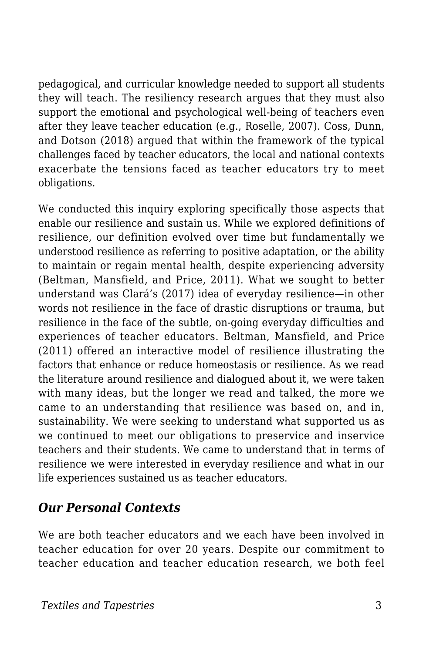pedagogical, and curricular knowledge needed to support all students they will teach. The resiliency research argues that they must also support the emotional and psychological well-being of teachers even after they leave teacher education (e.g., Roselle, 2007). Coss, Dunn, and Dotson (2018) argued that within the framework of the typical challenges faced by teacher educators, the local and national contexts exacerbate the tensions faced as teacher educators try to meet obligations.

We conducted this inquiry exploring specifically those aspects that enable our resilience and sustain us. While we explored definitions of resilience, our definition evolved over time but fundamentally we understood resilience as referring to positive adaptation, or the ability to maintain or regain mental health, despite experiencing adversity (Beltman, Mansfield, and Price, 2011). What we sought to better understand was Clará's (2017) idea of everyday resilience—in other words not resilience in the face of drastic disruptions or trauma, but resilience in the face of the subtle, on-going everyday difficulties and experiences of teacher educators. Beltman, Mansfield, and Price (2011) offered an interactive model of resilience illustrating the factors that enhance or reduce homeostasis or resilience. As we read the literature around resilience and dialogued about it, we were taken with many ideas, but the longer we read and talked, the more we came to an understanding that resilience was based on, and in, sustainability. We were seeking to understand what supported us as we continued to meet our obligations to preservice and inservice teachers and their students. We came to understand that in terms of resilience we were interested in everyday resilience and what in our life experiences sustained us as teacher educators.

#### *Our Personal Contexts*

We are both teacher educators and we each have been involved in teacher education for over 20 years. Despite our commitment to teacher education and teacher education research, we both feel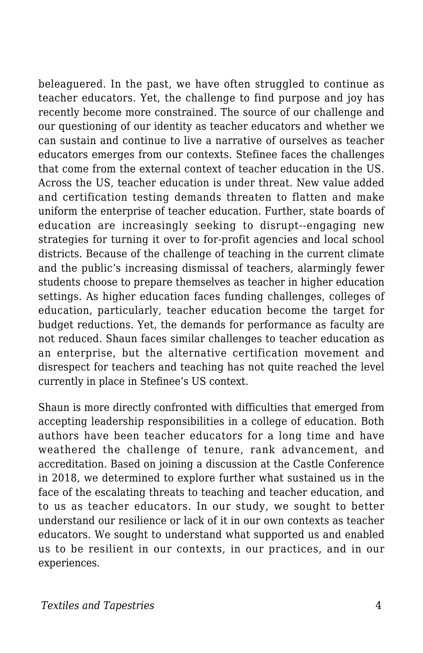beleaguered. In the past, we have often struggled to continue as teacher educators. Yet, the challenge to find purpose and joy has recently become more constrained. The source of our challenge and our questioning of our identity as teacher educators and whether we can sustain and continue to live a narrative of ourselves as teacher educators emerges from our contexts. Stefinee faces the challenges that come from the external context of teacher education in the US. Across the US, teacher education is under threat. New value added and certification testing demands threaten to flatten and make uniform the enterprise of teacher education. Further, state boards of education are increasingly seeking to disrupt--engaging new strategies for turning it over to for-profit agencies and local school districts. Because of the challenge of teaching in the current climate and the public's increasing dismissal of teachers, alarmingly fewer students choose to prepare themselves as teacher in higher education settings. As higher education faces funding challenges, colleges of education, particularly, teacher education become the target for budget reductions. Yet, the demands for performance as faculty are not reduced. Shaun faces similar challenges to teacher education as an enterprise, but the alternative certification movement and disrespect for teachers and teaching has not quite reached the level currently in place in Stefinee's US context.

Shaun is more directly confronted with difficulties that emerged from accepting leadership responsibilities in a college of education. Both authors have been teacher educators for a long time and have weathered the challenge of tenure, rank advancement, and accreditation. Based on joining a discussion at the Castle Conference in 2018, we determined to explore further what sustained us in the face of the escalating threats to teaching and teacher education, and to us as teacher educators. In our study, we sought to better understand our resilience or lack of it in our own contexts as teacher educators. We sought to understand what supported us and enabled us to be resilient in our contexts, in our practices, and in our experiences.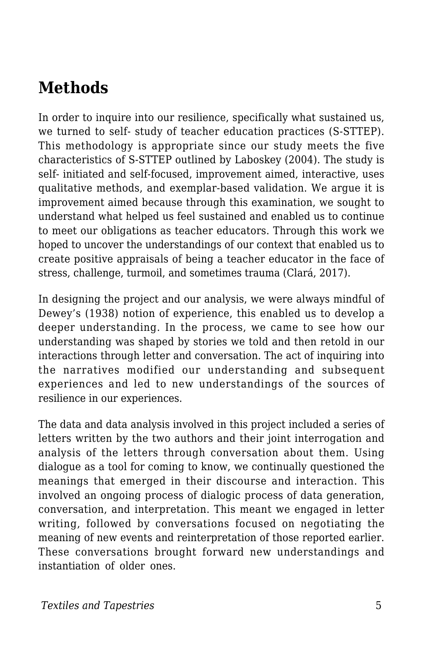## **Methods**

In order to inquire into our resilience, specifically what sustained us, we turned to self- study of teacher education practices (S-STTEP). This methodology is appropriate since our study meets the five characteristics of S-STTEP outlined by Laboskey (2004). The study is self- initiated and self-focused, improvement aimed, interactive, uses qualitative methods, and exemplar-based validation. We argue it is improvement aimed because through this examination, we sought to understand what helped us feel sustained and enabled us to continue to meet our obligations as teacher educators. Through this work we hoped to uncover the understandings of our context that enabled us to create positive appraisals of being a teacher educator in the face of stress, challenge, turmoil, and sometimes trauma (Clará, 2017).

In designing the project and our analysis, we were always mindful of Dewey's (1938) notion of experience, this enabled us to develop a deeper understanding. In the process, we came to see how our understanding was shaped by stories we told and then retold in our interactions through letter and conversation. The act of inquiring into the narratives modified our understanding and subsequent experiences and led to new understandings of the sources of resilience in our experiences.

The data and data analysis involved in this project included a series of letters written by the two authors and their joint interrogation and analysis of the letters through conversation about them. Using dialogue as a tool for coming to know, we continually questioned the meanings that emerged in their discourse and interaction. This involved an ongoing process of dialogic process of data generation, conversation, and interpretation. This meant we engaged in letter writing, followed by conversations focused on negotiating the meaning of new events and reinterpretation of those reported earlier. These conversations brought forward new understandings and instantiation of older ones.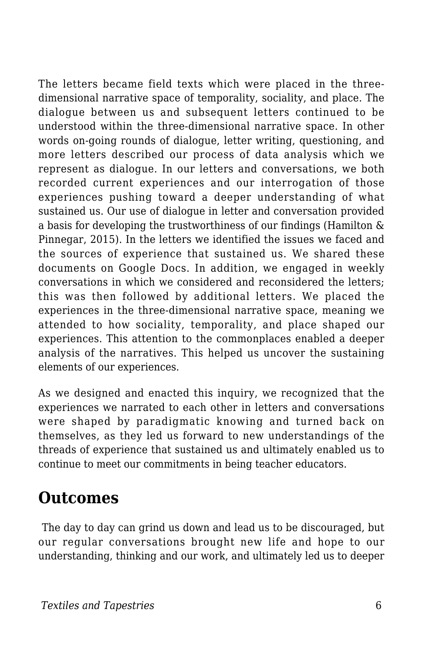The letters became field texts which were placed in the threedimensional narrative space of temporality, sociality, and place. The dialogue between us and subsequent letters continued to be understood within the three-dimensional narrative space. In other words on-going rounds of dialogue, letter writing, questioning, and more letters described our process of data analysis which we represent as dialogue. In our letters and conversations, we both recorded current experiences and our interrogation of those experiences pushing toward a deeper understanding of what sustained us. Our use of dialogue in letter and conversation provided a basis for developing the trustworthiness of our findings (Hamilton & Pinnegar, 2015). In the letters we identified the issues we faced and the sources of experience that sustained us. We shared these documents on Google Docs. In addition, we engaged in weekly conversations in which we considered and reconsidered the letters; this was then followed by additional letters. We placed the experiences in the three-dimensional narrative space, meaning we attended to how sociality, temporality, and place shaped our experiences. This attention to the commonplaces enabled a deeper analysis of the narratives. This helped us uncover the sustaining elements of our experiences.

As we designed and enacted this inquiry, we recognized that the experiences we narrated to each other in letters and conversations were shaped by paradigmatic knowing and turned back on themselves, as they led us forward to new understandings of the threads of experience that sustained us and ultimately enabled us to continue to meet our commitments in being teacher educators.

### **Outcomes**

The day to day can grind us down and lead us to be discouraged, but our regular conversations brought new life and hope to our understanding, thinking and our work, and ultimately led us to deeper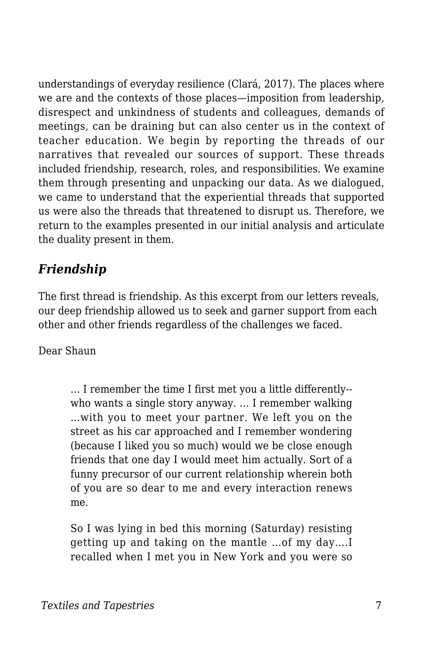understandings of everyday resilience (Clará, 2017). The places where we are and the contexts of those places—imposition from leadership, disrespect and unkindness of students and colleagues, demands of meetings, can be draining but can also center us in the context of teacher education. We begin by reporting the threads of our narratives that revealed our sources of support. These threads included friendship, research, roles, and responsibilities. We examine them through presenting and unpacking our data. As we dialogued, we came to understand that the experiential threads that supported us were also the threads that threatened to disrupt us. Therefore, we return to the examples presented in our initial analysis and articulate the duality present in them.

### *Friendship*

The first thread is friendship. As this excerpt from our letters reveals, our deep friendship allowed us to seek and garner support from each other and other friends regardless of the challenges we faced.

Dear Shaun

… I remember the time I first met you a little differently- who wants a single story anyway. … I remember walking …with you to meet your partner. We left you on the street as his car approached and I remember wondering (because I liked you so much) would we be close enough friends that one day I would meet him actually. Sort of a funny precursor of our current relationship wherein both of you are so dear to me and every interaction renews me.

So I was lying in bed this morning (Saturday) resisting getting up and taking on the mantle …of my day….I recalled when I met you in New York and you were so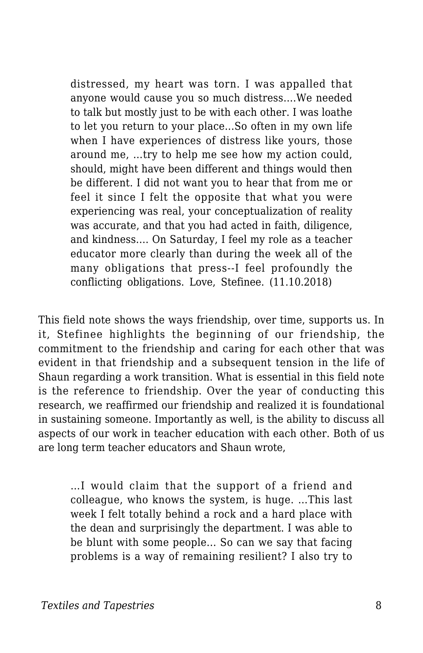distressed, my heart was torn. I was appalled that anyone would cause you so much distress….We needed to talk but mostly just to be with each other. I was loathe to let you return to your place...So often in my own life when I have experiences of distress like yours, those around me, …try to help me see how my action could, should, might have been different and things would then be different. I did not want you to hear that from me or feel it since I felt the opposite that what you were experiencing was real, your conceptualization of reality was accurate, and that you had acted in faith, diligence, and kindness.… On Saturday, I feel my role as a teacher educator more clearly than during the week all of the many obligations that press--I feel profoundly the conflicting obligations. Love, Stefinee. (11.10.2018)

This field note shows the ways friendship, over time, supports us. In it, Stefinee highlights the beginning of our friendship, the commitment to the friendship and caring for each other that was evident in that friendship and a subsequent tension in the life of Shaun regarding a work transition. What is essential in this field note is the reference to friendship. Over the year of conducting this research, we reaffirmed our friendship and realized it is foundational in sustaining someone. Importantly as well, is the ability to discuss all aspects of our work in teacher education with each other. Both of us are long term teacher educators and Shaun wrote,

…I would claim that the support of a friend and colleague, who knows the system, is huge. …This last week I felt totally behind a rock and a hard place with the dean and surprisingly the department. I was able to be blunt with some people... So can we say that facing problems is a way of remaining resilient? I also try to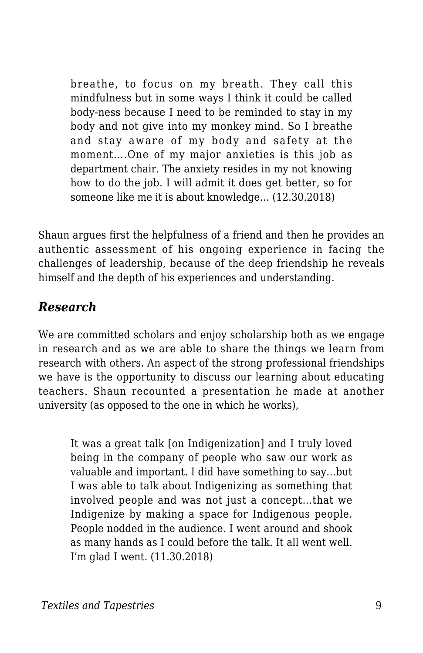breathe, to focus on my breath. They call this mindfulness but in some ways I think it could be called body-ness because I need to be reminded to stay in my body and not give into my monkey mind. So I breathe and stay aware of my body and safety at the moment….One of my major anxieties is this job as department chair. The anxiety resides in my not knowing how to do the job. I will admit it does get better, so for someone like me it is about knowledge… (12.30.2018)

Shaun argues first the helpfulness of a friend and then he provides an authentic assessment of his ongoing experience in facing the challenges of leadership, because of the deep friendship he reveals himself and the depth of his experiences and understanding.

#### *Research*

We are committed scholars and enjoy scholarship both as we engage in research and as we are able to share the things we learn from research with others. An aspect of the strong professional friendships we have is the opportunity to discuss our learning about educating teachers. Shaun recounted a presentation he made at another university (as opposed to the one in which he works),

It was a great talk [on Indigenization] and I truly loved being in the company of people who saw our work as valuable and important. I did have something to say…but I was able to talk about Indigenizing as something that involved people and was not just a concept…that we Indigenize by making a space for Indigenous people. People nodded in the audience. I went around and shook as many hands as I could before the talk. It all went well. I'm glad I went. (11.30.2018)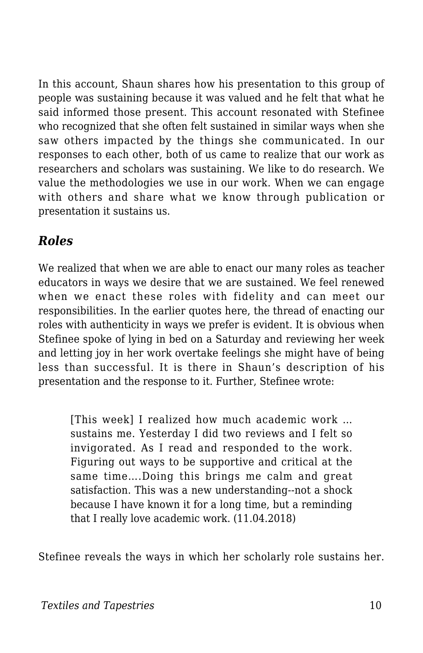In this account, Shaun shares how his presentation to this group of people was sustaining because it was valued and he felt that what he said informed those present. This account resonated with Stefinee who recognized that she often felt sustained in similar ways when she saw others impacted by the things she communicated. In our responses to each other, both of us came to realize that our work as researchers and scholars was sustaining. We like to do research. We value the methodologies we use in our work. When we can engage with others and share what we know through publication or presentation it sustains us.

#### *Roles*

We realized that when we are able to enact our many roles as teacher educators in ways we desire that we are sustained. We feel renewed when we enact these roles with fidelity and can meet our responsibilities. In the earlier quotes here, the thread of enacting our roles with authenticity in ways we prefer is evident. It is obvious when Stefinee spoke of lying in bed on a Saturday and reviewing her week and letting joy in her work overtake feelings she might have of being less than successful. It is there in Shaun's description of his presentation and the response to it. Further, Stefinee wrote:

[This week] I realized how much academic work … sustains me. Yesterday I did two reviews and I felt so invigorated. As I read and responded to the work. Figuring out ways to be supportive and critical at the same time….Doing this brings me calm and great satisfaction. This was a new understanding--not a shock because I have known it for a long time, but a reminding that I really love academic work. (11.04.2018)

Stefinee reveals the ways in which her scholarly role sustains her.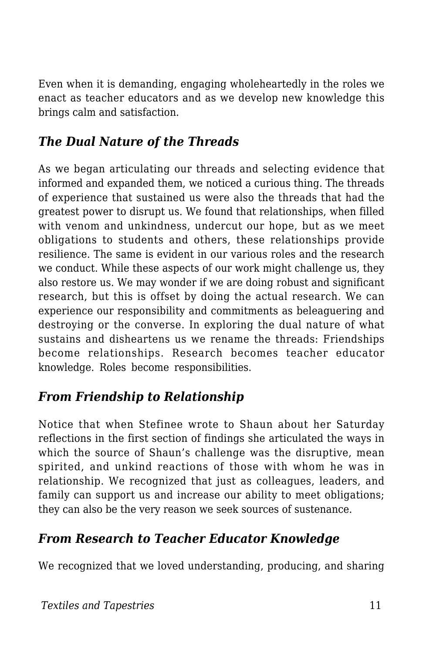Even when it is demanding, engaging wholeheartedly in the roles we enact as teacher educators and as we develop new knowledge this brings calm and satisfaction.

#### *The Dual Nature of the Threads*

As we began articulating our threads and selecting evidence that informed and expanded them, we noticed a curious thing. The threads of experience that sustained us were also the threads that had the greatest power to disrupt us. We found that relationships, when filled with venom and unkindness, undercut our hope, but as we meet obligations to students and others, these relationships provide resilience. The same is evident in our various roles and the research we conduct. While these aspects of our work might challenge us, they also restore us. We may wonder if we are doing robust and significant research, but this is offset by doing the actual research. We can experience our responsibility and commitments as beleaguering and destroying or the converse. In exploring the dual nature of what sustains and disheartens us we rename the threads: Friendships become relationships. Research becomes teacher educator knowledge. Roles become responsibilities.

#### *From Friendship to Relationship*

Notice that when Stefinee wrote to Shaun about her Saturday reflections in the first section of findings she articulated the ways in which the source of Shaun's challenge was the disruptive, mean spirited, and unkind reactions of those with whom he was in relationship. We recognized that just as colleagues, leaders, and family can support us and increase our ability to meet obligations; they can also be the very reason we seek sources of sustenance.

#### *From Research to Teacher Educator Knowledge*

We recognized that we loved understanding, producing, and sharing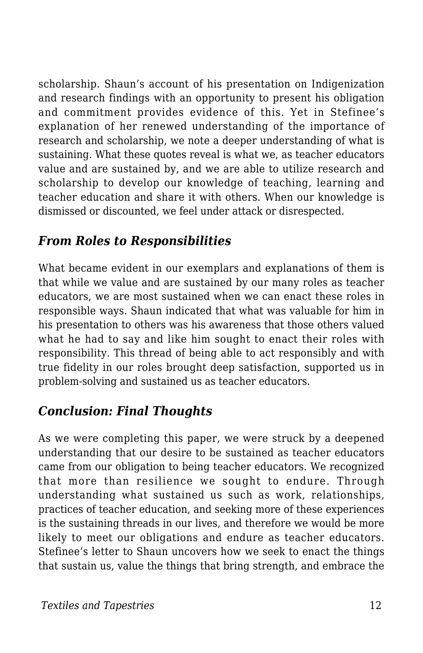scholarship. Shaun's account of his presentation on Indigenization and research findings with an opportunity to present his obligation and commitment provides evidence of this. Yet in Stefinee's explanation of her renewed understanding of the importance of research and scholarship, we note a deeper understanding of what is sustaining. What these quotes reveal is what we, as teacher educators value and are sustained by, and we are able to utilize research and scholarship to develop our knowledge of teaching, learning and teacher education and share it with others. When our knowledge is dismissed or discounted, we feel under attack or disrespected.

#### *From Roles to Responsibilities*

What became evident in our exemplars and explanations of them is that while we value and are sustained by our many roles as teacher educators, we are most sustained when we can enact these roles in responsible ways. Shaun indicated that what was valuable for him in his presentation to others was his awareness that those others valued what he had to say and like him sought to enact their roles with responsibility. This thread of being able to act responsibly and with true fidelity in our roles brought deep satisfaction, supported us in problem-solving and sustained us as teacher educators.

#### *Conclusion: Final Thoughts*

As we were completing this paper, we were struck by a deepened understanding that our desire to be sustained as teacher educators came from our obligation to being teacher educators. We recognized that more than resilience we sought to endure. Through understanding what sustained us such as work, relationships, practices of teacher education, and seeking more of these experiences is the sustaining threads in our lives, and therefore we would be more likely to meet our obligations and endure as teacher educators. Stefinee's letter to Shaun uncovers how we seek to enact the things that sustain us, value the things that bring strength, and embrace the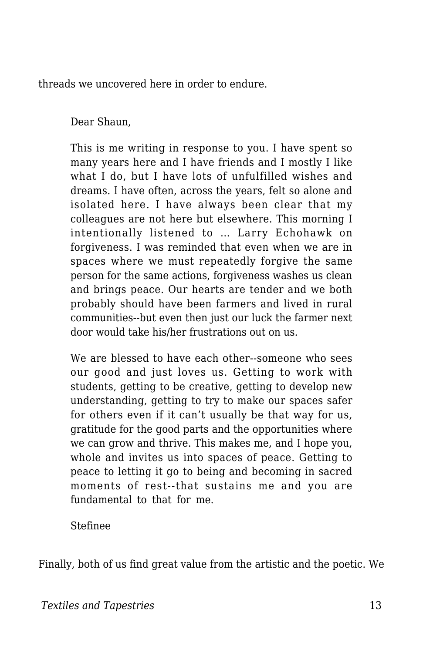threads we uncovered here in order to endure.

Dear Shaun,

This is me writing in response to you. I have spent so many years here and I have friends and I mostly I like what I do, but I have lots of unfulfilled wishes and dreams. I have often, across the years, felt so alone and isolated here. I have always been clear that my colleagues are not here but elsewhere. This morning I intentionally listened to … Larry Echohawk on forgiveness. I was reminded that even when we are in spaces where we must repeatedly forgive the same person for the same actions, forgiveness washes us clean and brings peace. Our hearts are tender and we both probably should have been farmers and lived in rural communities--but even then just our luck the farmer next door would take his/her frustrations out on us.

We are blessed to have each other--someone who sees our good and just loves us. Getting to work with students, getting to be creative, getting to develop new understanding, getting to try to make our spaces safer for others even if it can't usually be that way for us, gratitude for the good parts and the opportunities where we can grow and thrive. This makes me, and I hope you, whole and invites us into spaces of peace. Getting to peace to letting it go to being and becoming in sacred moments of rest--that sustains me and you are fundamental to that for me.

Stefinee

Finally, both of us find great value from the artistic and the poetic. We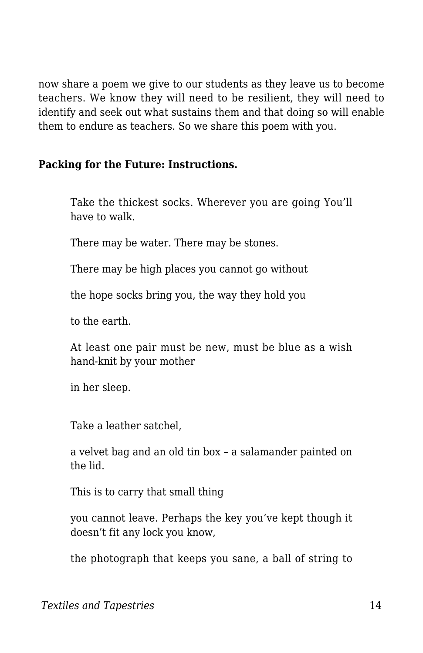now share a poem we give to our students as they leave us to become teachers. We know they will need to be resilient, they will need to identify and seek out what sustains them and that doing so will enable them to endure as teachers. So we share this poem with you.

#### **Packing for the Future: Instructions.**

Take the thickest socks. Wherever you are going You'll have to walk.

There may be water. There may be stones.

There may be high places you cannot go without

the hope socks bring you, the way they hold you

to the earth.

At least one pair must be new, must be blue as a wish hand-knit by your mother

in her sleep.

Take a leather satchel,

a velvet bag and an old tin box – a salamander painted on the lid.

This is to carry that small thing

you cannot leave. Perhaps the key you've kept though it doesn't fit any lock you know,

the photograph that keeps you sane, a ball of string to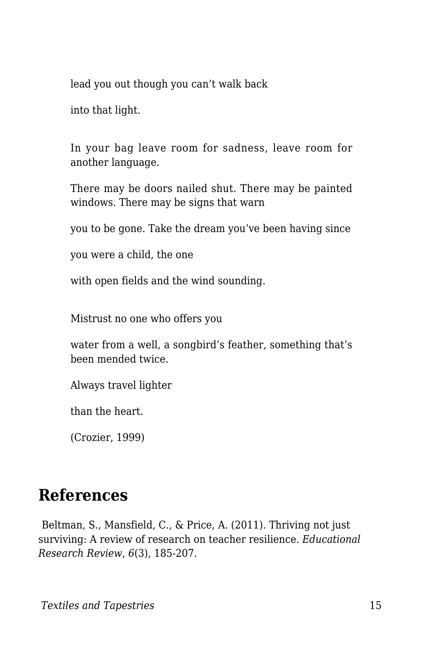lead you out though you can't walk back

into that light.

In your bag leave room for sadness, leave room for another language.

There may be doors nailed shut. There may be painted windows. There may be signs that warn

you to be gone. Take the dream you've been having since

you were a child, the one

with open fields and the wind sounding.

Mistrust no one who offers you

water from a well, a songbird's feather, something that's been mended twice.

Always travel lighter

than the heart.

(Crozier, 1999)

### **References**

Beltman, S., Mansfield, C., & Price, A. (2011). Thriving not just surviving: A review of research on teacher resilience. *Educational Research Review*, *6*(3), 185-207.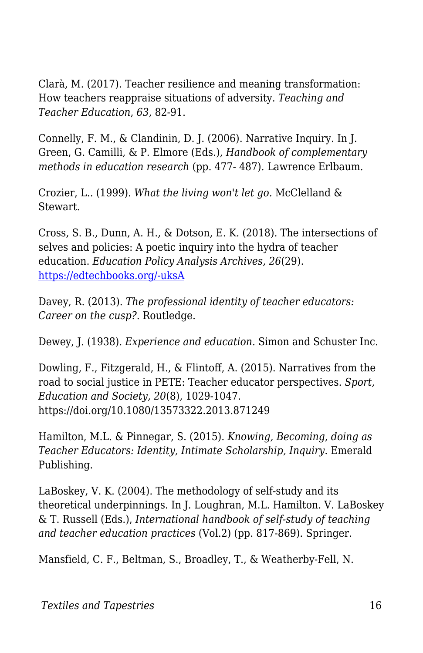Clarà, M. (2017). Teacher resilience and meaning transformation: How teachers reappraise situations of adversity. *Teaching and Teacher Education*, *63*, 82-91.

Connelly, F. M., & Clandinin, D. J. (2006). Narrative Inquiry. In J. Green, G. Camilli, & P. Elmore (Eds.), *Handbook of complementary methods in education research* (pp. 477- 487). Lawrence Erlbaum.

Crozier, L.. (1999). *What the living won't let go.* McClelland & Stewart.

Cross, S. B., Dunn, A. H., & Dotson, E. K. (2018). The intersections of selves and policies: A poetic inquiry into the hydra of teacher education. *Education Policy Analysis Archives, 26*(29). [https://edtechbooks.org/-uksA](http://dx.doi.org/10.14507/epaa.26.2813)

Davey, R. (2013). *The professional identity of teacher educators: Career on the cusp?*. Routledge.

Dewey, J. (1938). *Experience and education*. Simon and Schuster Inc.

Dowling, F., Fitzgerald, H., & Flintoff, A. (2015). Narratives from the road to social justice in PETE: Teacher educator perspectives. *Sport, Education and Society, 20*(8)*,* 1029-1047. https://doi.org/10.1080/13573322.2013.871249

Hamilton, M.L. & Pinnegar, S. (2015). *Knowing, Becoming, doing as Teacher Educators: Identity, Intimate Scholarship, Inquiry*. Emerald Publishing.

LaBoskey, V. K. (2004). The methodology of self-study and its theoretical underpinnings. In J. Loughran, M.L. Hamilton. V. LaBoskey & T. Russell (Eds.), *International handbook of self-study of teaching and teacher education practices* (Vol.2) (pp. 817-869). Springer.

Mansfield, C. F., Beltman, S., Broadley, T., & Weatherby-Fell, N.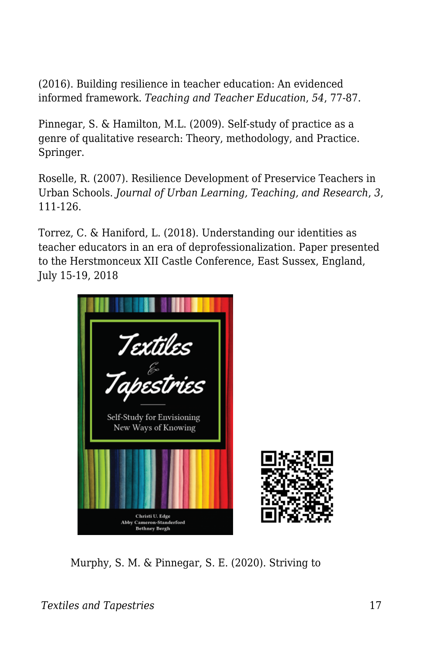(2016). Building resilience in teacher education: An evidenced informed framework. *Teaching and Teacher Education*, *54*, 77-87.

Pinnegar, S. & Hamilton, M.L. (2009). Self-study of practice as a genre of qualitative research: Theory, methodology, and Practice. Springer.

Roselle, R. (2007). Resilience Development of Preservice Teachers in Urban Schools. *Journal of Urban Learning, Teaching, and Research*, *3*, 111-126.

Torrez, C. & Haniford, L. (2018). Understanding our identities as teacher educators in an era of deprofessionalization. Paper presented to the Herstmonceux XII Castle Conference, East Sussex, England, July 15-19, 2018



Murphy, S. M. & Pinnegar, S. E. (2020). Striving to